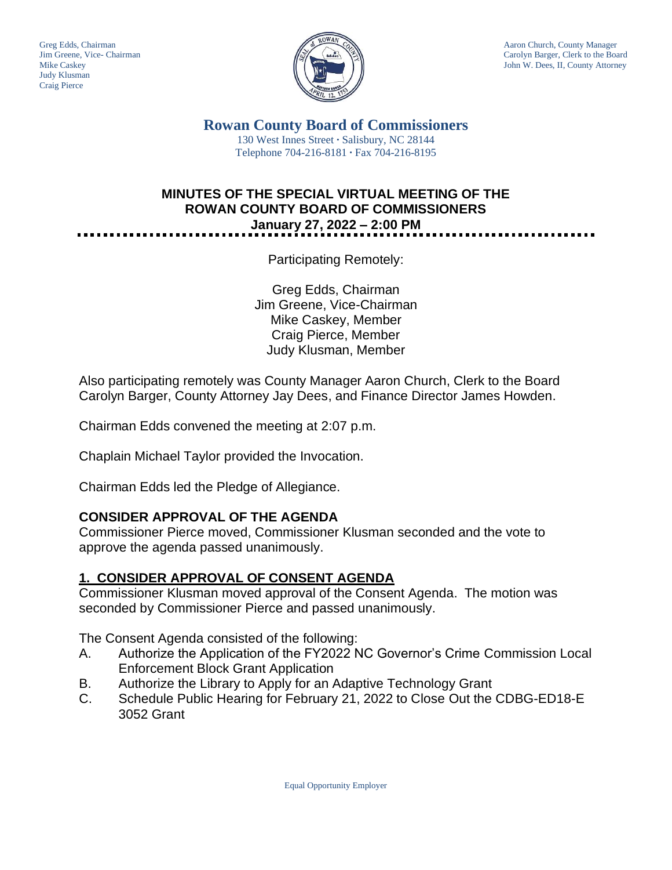

Greg Edds, Chairman Aaron Church, County Manager<br>Jim Greene, Vice- Chairman Aaron Church, County Manager<br>Carolyn Barger, Clerk to the Boa Carolyn Barger, Clerk to the Board Mike Caskey John W. Dees, II, County Attorney

> **Rowan County Board of Commissioners** 130 West Innes Street **∙** Salisbury, NC 28144 Telephone 704-216-8181 **∙** Fax 704-216-8195

## **MINUTES OF THE SPECIAL VIRTUAL MEETING OF THE ROWAN COUNTY BOARD OF COMMISSIONERS January 27, 2022 – 2:00 PM**

Participating Remotely:

Greg Edds, Chairman Jim Greene, Vice-Chairman Mike Caskey, Member Craig Pierce, Member Judy Klusman, Member

Also participating remotely was County Manager Aaron Church, Clerk to the Board Carolyn Barger, County Attorney Jay Dees, and Finance Director James Howden.

Chairman Edds convened the meeting at 2:07 p.m.

Chaplain Michael Taylor provided the Invocation.

Chairman Edds led the Pledge of Allegiance.

## **CONSIDER APPROVAL OF THE AGENDA**

Commissioner Pierce moved, Commissioner Klusman seconded and the vote to approve the agenda passed unanimously.

## **1. CONSIDER APPROVAL OF CONSENT AGENDA**

Commissioner Klusman moved approval of the Consent Agenda. The motion was seconded by Commissioner Pierce and passed unanimously.

The Consent Agenda consisted of the following:

- A. Authorize the Application of the FY2022 NC Governor's Crime Commission Local Enforcement Block Grant Application
- B. Authorize the Library to Apply for an Adaptive Technology Grant
- C. Schedule Public Hearing for February 21, 2022 to Close Out the CDBG-ED18-E 3052 Grant